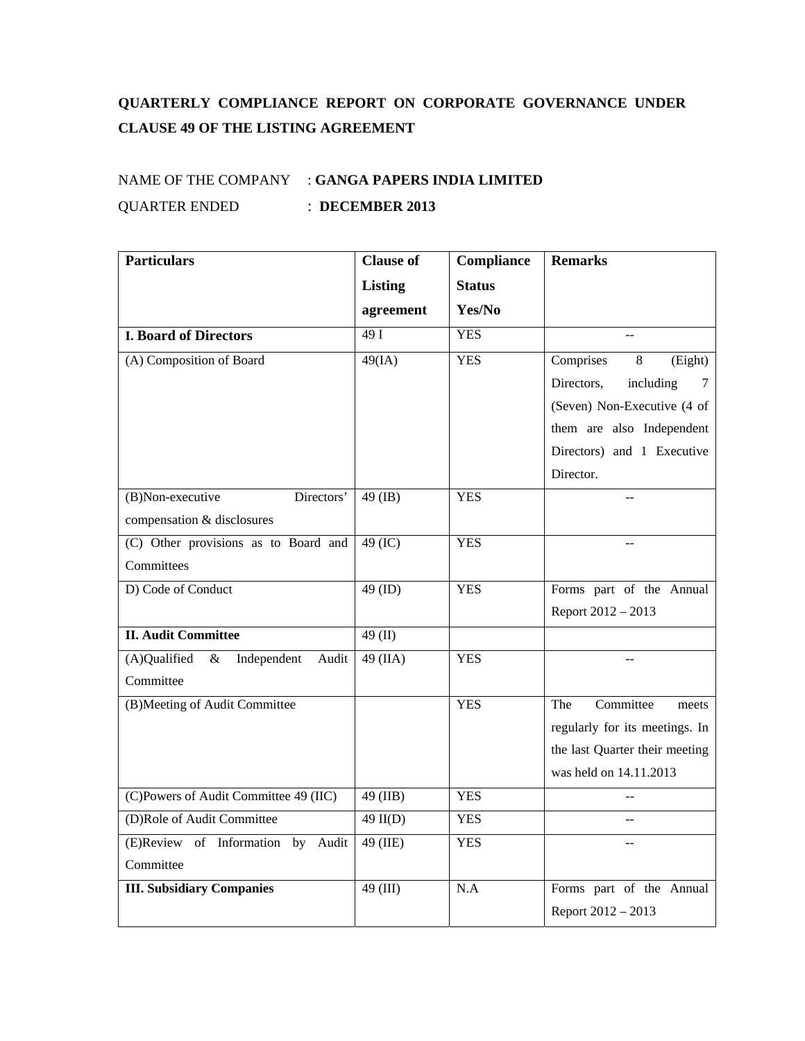## **QUARTERLY COMPLIANCE REPORT ON CORPORATE GOVERNANCE UNDER CLAUSE 49 OF THE LISTING AGREEMENT**

## NAME OF THE COMPANY : **GANGA PAPERS INDIA LIMITED** QUARTER ENDED : **DECEMBER 2013**

| <b>Particulars</b>                           | <b>Clause of</b> | Compliance    | <b>Remarks</b>                 |
|----------------------------------------------|------------------|---------------|--------------------------------|
|                                              | <b>Listing</b>   | <b>Status</b> |                                |
|                                              | agreement        | Yes/No        |                                |
| <b>I. Board of Directors</b>                 | 49I              | <b>YES</b>    | ωü.                            |
| (A) Composition of Board                     | 49(IA)           | <b>YES</b>    | 8<br>Comprises<br>(Eight)      |
|                                              |                  |               | Directors,<br>including<br>7   |
|                                              |                  |               | (Seven) Non-Executive (4 of    |
|                                              |                  |               | them are also Independent      |
|                                              |                  |               | Directors) and 1 Executive     |
|                                              |                  |               | Director.                      |
| (B)Non-executive<br>Directors'               | 49 (IB)          | <b>YES</b>    |                                |
| compensation & disclosures                   |                  |               |                                |
| (C) Other provisions as to Board and         | 49 (IC)          | <b>YES</b>    |                                |
| Committees                                   |                  |               |                                |
| D) Code of Conduct                           | 49 (ID)          | <b>YES</b>    | Forms part of the Annual       |
|                                              |                  |               | Report 2012 - 2013             |
| <b>II.</b> Audit Committee                   | 49 $(II)$        |               |                                |
| (A)Qualified<br>Independent<br>$\&$<br>Audit | 49 (IIA)         | <b>YES</b>    |                                |
| Committee                                    |                  |               |                                |
| (B)Meeting of Audit Committee                |                  | <b>YES</b>    | Committee<br>The<br>meets      |
|                                              |                  |               | regularly for its meetings. In |
|                                              |                  |               | the last Quarter their meeting |
|                                              |                  |               | was held on 14.11.2013         |
| (C)Powers of Audit Committee 49 (IIC)        | 49 (IIB)         | <b>YES</b>    |                                |
| (D)Role of Audit Committee                   | $49$ II(D)       | <b>YES</b>    | --                             |
| (E)Review of Information by<br>Audit         | 49 (IIE)         | <b>YES</b>    |                                |
| Committee                                    |                  |               |                                |
| <b>III. Subsidiary Companies</b>             | 49 (III)         | N.A           | Forms part of the Annual       |
|                                              |                  |               | Report 2012 - 2013             |